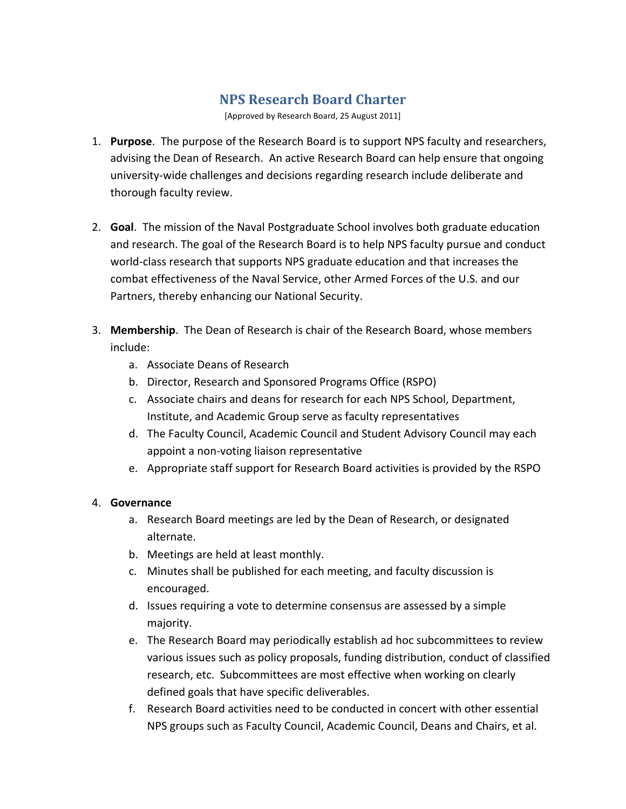# **NPS Research Board Charter**

[Approved by Research Board, 25 August 2011]

- 1. **Purpose**. The purpose of the Research Board is to support NPS faculty and researchers, advising the Dean of Research. An active Research Board can help ensure that ongoing university-wide challenges and decisions regarding research include deliberate and thorough faculty review.
- 2. **Goal**. The mission of the Naval Postgraduate School involves both graduate education and research. The goal of the Research Board is to help NPS faculty pursue and conduct world-class research that supports NPS graduate education and that increases the combat effectiveness of the Naval Service, other Armed Forces of the U.S. and our Partners, thereby enhancing our National Security.
- 3. **Membership**. The Dean of Research is chair of the Research Board, whose members include:
	- a. Associate Deans of Research
	- b. Director, Research and Sponsored Programs Office (RSPO)
	- c. Associate chairs and deans for research for each NPS School, Department, Institute, and Academic Group serve as faculty representatives
	- d. The Faculty Council, Academic Council and Student Advisory Council may each appoint a non-voting liaison representative
	- e. Appropriate staff support for Research Board activities is provided by the RSPO

#### 4. **Governance**

- a. Research Board meetings are led by the Dean of Research, or designated alternate.
- b. Meetings are held at least monthly.
- c. Minutes shall be published for each meeting, and faculty discussion is encouraged.
- d. Issues requiring a vote to determine consensus are assessed by a simple majority.
- e. The Research Board may periodically establish ad hoc subcommittees to review various issues such as policy proposals, funding distribution, conduct of classified research, etc.)Subcommittees are most effective when working on clearly defined goals that have specific deliverables.
- f. Research Board activities need to be conducted in concert with other essential NPS groups such as Faculty Council, Academic Council, Deans and Chairs, et al.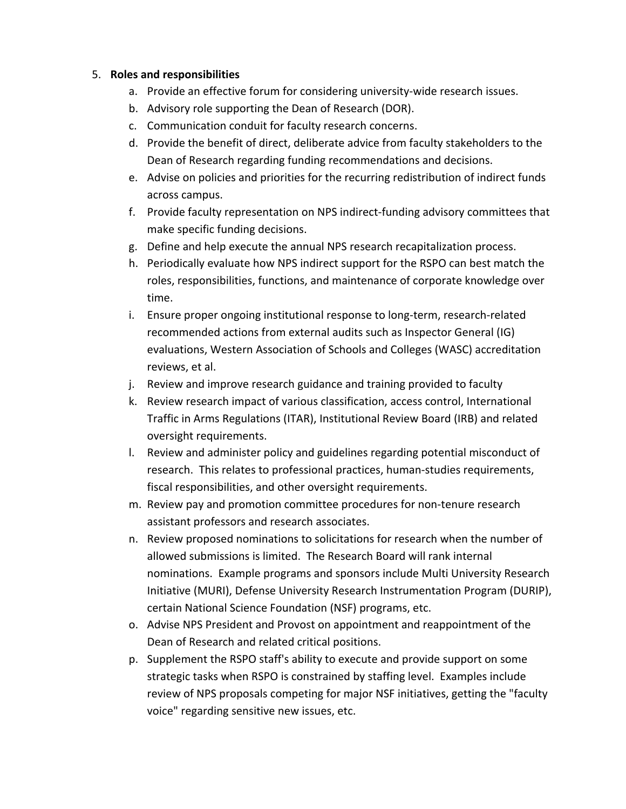# 5. **Roles and responsibilities**

- a. Provide an effective forum for considering university-wide research issues.
- b. Advisory role supporting the Dean of Research (DOR).
- c. Communication conduit for faculty research concerns.
- d. Provide the benefit of direct, deliberate advice from faculty stakeholders to the Dean of Research regarding funding recommendations and decisions.
- e. Advise on policies and priorities for the recurring redistribution of indirect funds across campus.
- f. Provide faculty representation on NPS indirect-funding advisory committees that make specific funding decisions.
- g. Define and help execute the annual NPS research recapitalization process.
- h. Periodically evaluate how NPS indirect support for the RSPO can best match the roles, responsibilities, functions, and maintenance of corporate knowledge over time.
- i. Ensure proper ongoing institutional response to long-term, research-related recommended actions from external audits such as Inspector General (IG) evaluations, Western Association of Schools and Colleges (WASC) accreditation reviews, et al.
- j. Review and improve research guidance and training provided to faculty
- k. Review research impact of various classification, access control, International Traffic in Arms Regulations (ITAR), Institutional Review Board (IRB) and related oversight requirements.
- l. Review and administer policy and guidelines regarding potential misconduct of research. This relates to professional practices, human-studies requirements, fiscal responsibilities, and other oversight requirements.
- m. Review pay and promotion committee procedures for non-tenure research assistant professors and research associates.
- n. Review proposed nominations to solicitations for research when the number of allowed submissions is limited. The Research Board will rank internal nominations. Example programs and sponsors include Multi University Research Initiative (MURI), Defense University Research Instrumentation Program (DURIP), certain National Science Foundation (NSF) programs, etc.
- o. Advise NPS President and Provost on appointment and reappointment of the Dean of Research and related critical positions.
- p. Supplement the RSPO staff's ability to execute and provide support on some strategic tasks when RSPO is constrained by staffing level. Examples include review of NPS proposals competing for major NSF initiatives, getting the "faculty voice" regarding sensitive new issues, etc.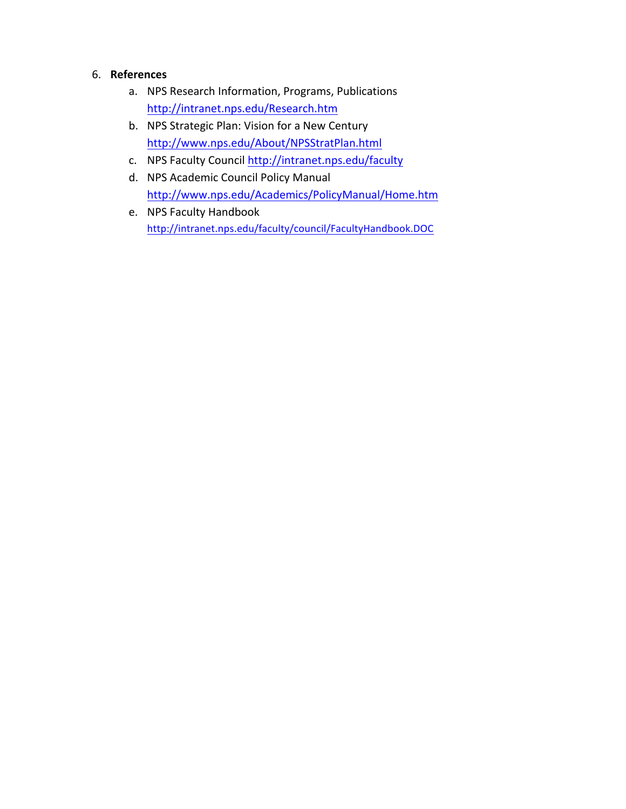# 6. **References**

- a. NPS Research Information, Programs, Publications http://intranet.nps.edu/Research.htm
- b. NPS Strategic Plan: Vision for a New Century http://www.nps.edu/About/NPSStratPlan.html
- c. NPS Faculty Council http://intranet.nps.edu/faculty
- d. NPS Academic Council Policy Manual http://www.nps.edu/Academics/PolicyManual/Home.htm
- e. NPS Faculty Handbook http://intranet.nps.edu/faculty/council/FacultyHandbook.DOC